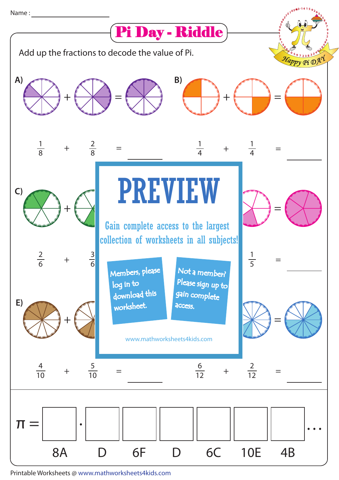